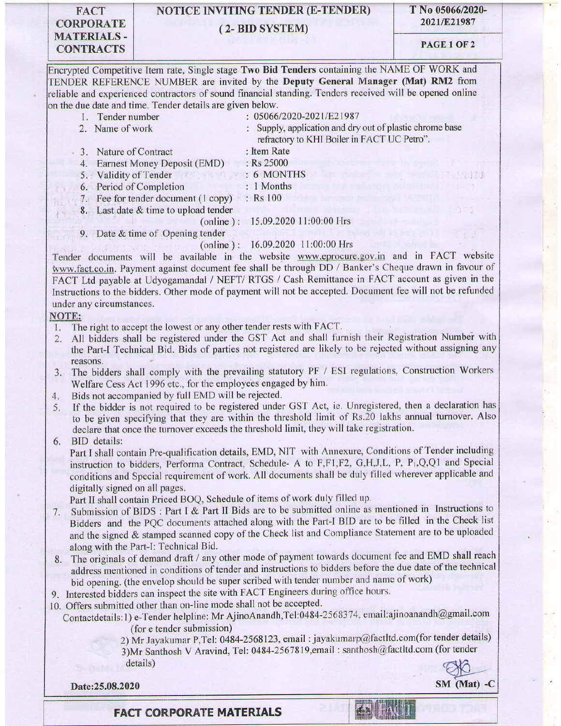### **FACT CORPORATE MATERIALS-CONTRACTS**

# **NOTICE INVITING TENDER (E-TENDER)** (2-BID SYSTEM)

T No 05066/2020-2021/E21987

## PAGE 1 OF 2

Encrypted Competitive Item rate, Single stage Two Bid Tenders containing the NAME OF WORK and TENDER REFERENCE NUMBER are invited by the Deputy General Manager (Mat) RM2 from reliable and experienced contractors of sound financial standing. Tenders received will be opened online on the due date and time. Tender details are given below.

- : 05066/2020-2021/E21987 1. Tender number 2. Name of work
	- : Supply, application and dry out of plastic chrome base
- 3. Nature of Contract
- refractory to KHI Boiler in FACT UC Petro". : Item Rate
- 4. Earnest Money Deposit (EMD) : Rs 25000
- 5. Validity of Tender : 6 MONTHS
- 6. Period of Completion  $\therefore$  1 Months
- 7. Fee for tender document (1 copy) : Rs 100
	- 8. Last date & time to upload tender

(online):  $15.09.2020$  11:00:00 Hrs

9. Date & time of Opening tender

(online): 16.09.2020 11:00:00 Hrs

Tender documents will be available in the website www.eprocure.gov.in and in FACT website www.fact.co.in. Payment against document fee shall be through DD / Banker's Cheque drawn in favour of FACT Ltd payable at Udyogamandal / NEFT/ RTGS / Cash Remittance in FACT account as given in the Instructions to the bidders. Other mode of payment will not be accepted. Document fee will not be refunded under any circumstances.

#### **NOTE:**

- The right to accept the lowest or any other tender rests with FACT.  $\mathbf{L}$
- All bidders shall be registered under the GST Act and shall furnish their Registration Number with the Part-I Technical Bid. Bids of parties not registered are likely to be rejected without assigning any reasons.
- The bidders shall comply with the prevailing statutory PF / ESI regulations, Construction Workers  $3.$ Welfare Cess Act 1996 etc., for the employees engaged by him.
- Bids not accompanied by full EMD will be rejected. 4.
- If the bidder is not required to be registered under GST Act, ie. Unregistered, then a declaration has 5. to be given specifying that they are within the threshold limit of Rs.20 lakhs annual turnover. Also declare that once the turnover exceeds the threshold limit, they will take registration.

**BID** details: 6.

Part I shall contain Pre-qualification details, EMD, NIT with Annexure, Conditions of Tender including instruction to bidders, Performa Contract, Schedule- A to F,F1,F2, G,H,J,L, P, P<sub>1</sub>,Q,Q1 and Special conditions and Special requirement of work. All documents shall be duly filled wherever applicable and digitally signed on all pages.

Part II shall contain Priced BOQ, Schedule of items of work duly filled up.

- Submission of BIDS : Part I & Part II Bids are to be submitted online as mentioned in Instructions to 7. Bidders and the PQC documents attached along with the Part-I BID are to be filled in the Check list and the signed & stamped scanned copy of the Check list and Compliance Statement are to be uploaded along with the Part-I: Technical Bid.
- The originals of demand draft / any other mode of payment towards document fee and EMD shall reach 8. address mentioned in conditions of tender and instructions to bidders before the due date of the technical bid opening. (the envelop should be super scribed with tender number and name of work)
- 9. Interested bidders can inspect the site with FACT Engineers during office hours.
- 10. Offers submitted other than on-line mode shall not be accepted.
- Contactdetails:1) e-Tender helpline: Mr AjinoAnandh,Tel:0484-2568374, email:ajinoanandh@gmail.com (for e tender submission)

2) Mr Jayakumar P, Tel: 0484-2568123, email: jayakumarp@factltd.com(for tender details) 3) Mr Santhosh V Aravind, Tel: 0484-2567819, email: santhosh@factltd.com (for tender details)

Date:25.08.2020

 $SM$  (Mat) - $C$ 

### **FACT CORPORATE MATERIALS**